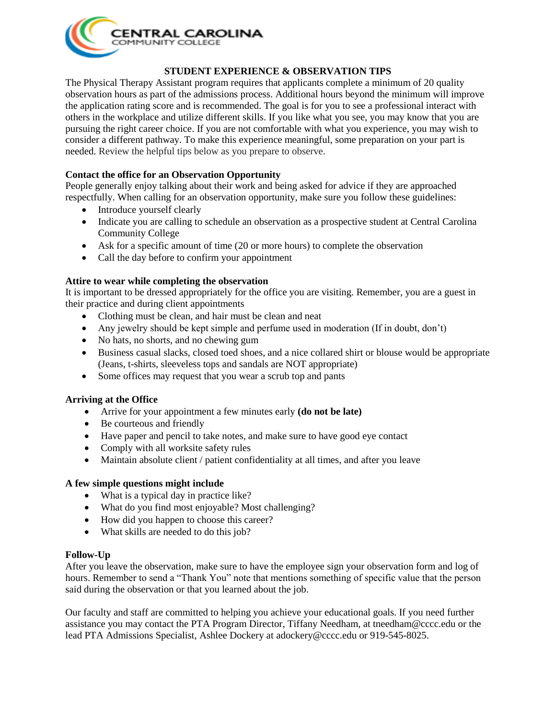

## **STUDENT EXPERIENCE & OBSERVATION TIPS**

The Physical Therapy Assistant program requires that applicants complete a minimum of 20 quality observation hours as part of the admissions process. Additional hours beyond the minimum will improve the application rating score and is recommended. The goal is for you to see a professional interact with others in the workplace and utilize different skills. If you like what you see, you may know that you are pursuing the right career choice. If you are not comfortable with what you experience, you may wish to consider a different pathway. To make this experience meaningful, some preparation on your part is needed. Review the helpful tips below as you prepare to observe.

## **Contact the office for an Observation Opportunity**

People generally enjoy talking about their work and being asked for advice if they are approached respectfully. When calling for an observation opportunity, make sure you follow these guidelines:

- Introduce yourself clearly
- Indicate you are calling to schedule an observation as a prospective student at Central Carolina Community College
- Ask for a specific amount of time (20 or more hours) to complete the observation
- Call the day before to confirm your appointment

## **Attire to wear while completing the observation**

It is important to be dressed appropriately for the office you are visiting. Remember, you are a guest in their practice and during client appointments

- Clothing must be clean, and hair must be clean and neat
- Any jewelry should be kept simple and perfume used in moderation (If in doubt, don't)
- No hats, no shorts, and no chewing gum
- Business casual slacks, closed toed shoes, and a nice collared shirt or blouse would be appropriate (Jeans, t-shirts, sleeveless tops and sandals are NOT appropriate)
- Some offices may request that you wear a scrub top and pants

### **Arriving at the Office**

- Arrive for your appointment a few minutes early **(do not be late)**
- Be courteous and friendly
- Have paper and pencil to take notes, and make sure to have good eye contact
- Comply with all worksite safety rules
- Maintain absolute client / patient confidentiality at all times, and after you leave

#### **A few simple questions might include**

- What is a typical day in practice like?
- What do you find most enjoyable? Most challenging?
- How did you happen to choose this career?
- What skills are needed to do this job?

#### **Follow-Up**

After you leave the observation, make sure to have the employee sign your observation form and log of hours. Remember to send a "Thank You" note that mentions something of specific value that the person said during the observation or that you learned about the job.

Our faculty and staff are committed to helping you achieve your educational goals. If you need further assistance you may contact the PTA Program Director, Tiffany Needham, at tneedham@cccc.edu or the lead PTA Admissions Specialist, Ashlee Dockery at adockery@cccc.edu or 919-545-8025.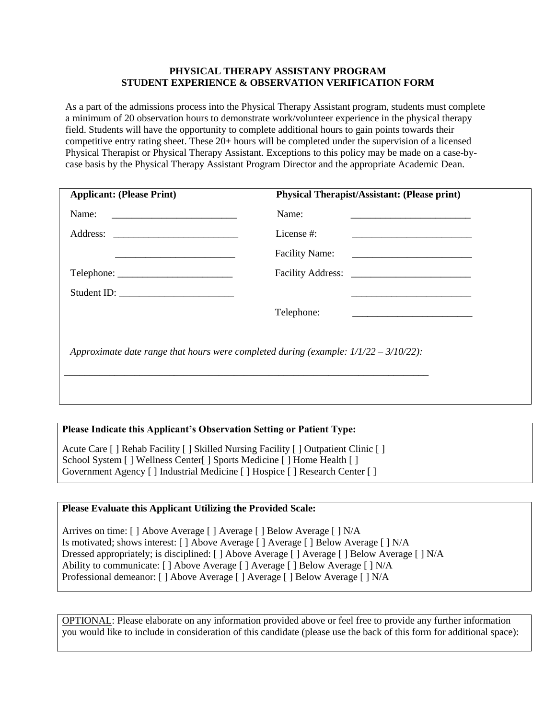## **PHYSICAL THERAPY ASSISTANY PROGRAM STUDENT EXPERIENCE & OBSERVATION VERIFICATION FORM**

As a part of the admissions process into the Physical Therapy Assistant program, students must complete a minimum of 20 observation hours to demonstrate work/volunteer experience in the physical therapy field. Students will have the opportunity to complete additional hours to gain points towards their competitive entry rating sheet. These 20+ hours will be completed under the supervision of a licensed Physical Therapist or Physical Therapy Assistant. Exceptions to this policy may be made on a case-bycase basis by the Physical Therapy Assistant Program Director and the appropriate Academic Dean.

| <b>Applicant: (Please Print)</b>                                                        | <b>Physical Therapist/Assistant: (Please print)</b>           |  |
|-----------------------------------------------------------------------------------------|---------------------------------------------------------------|--|
| Name:<br><u> 1980 - Andrea Andrew Maria (h. 1980).</u>                                  | Name:                                                         |  |
|                                                                                         | License #:<br><u> 1989 - Johann John Stone, mars et al. (</u> |  |
|                                                                                         | <b>Facility Name:</b>                                         |  |
| Telephone:                                                                              |                                                               |  |
| Student ID:                                                                             |                                                               |  |
|                                                                                         | Telephone:                                                    |  |
| Approximate date range that hours were completed during (example: $1/1/22 - 3/10/22$ ): |                                                               |  |

## **Please Indicate this Applicant's Observation Setting or Patient Type:**

Acute Care [ ] Rehab Facility [ ] Skilled Nursing Facility [ ] Outpatient Clinic [ ] School System [ ] Wellness Center[ ] Sports Medicine [ ] Home Health [ ] Government Agency [ ] Industrial Medicine [ ] Hospice [ ] Research Center [ ]

## **Please Evaluate this Applicant Utilizing the Provided Scale:**

Arrives on time: [ ] Above Average [ ] Average [ ] Below Average [ ] N/A Is motivated; shows interest: [ ] Above Average [ ] Average [ ] Below Average [ ] N/A Dressed appropriately; is disciplined: [ ] Above Average [ ] Average [ ] Below Average [ ] N/A Ability to communicate: [ ] Above Average [ ] Average [ ] Below Average [ ] N/A Professional demeanor: [ ] Above Average [ ] Average [ ] Below Average [ ] N/A

OPTIONAL: Please elaborate on any information provided above or feel free to provide any further information you would like to include in consideration of this candidate (please use the back of this form for additional space):